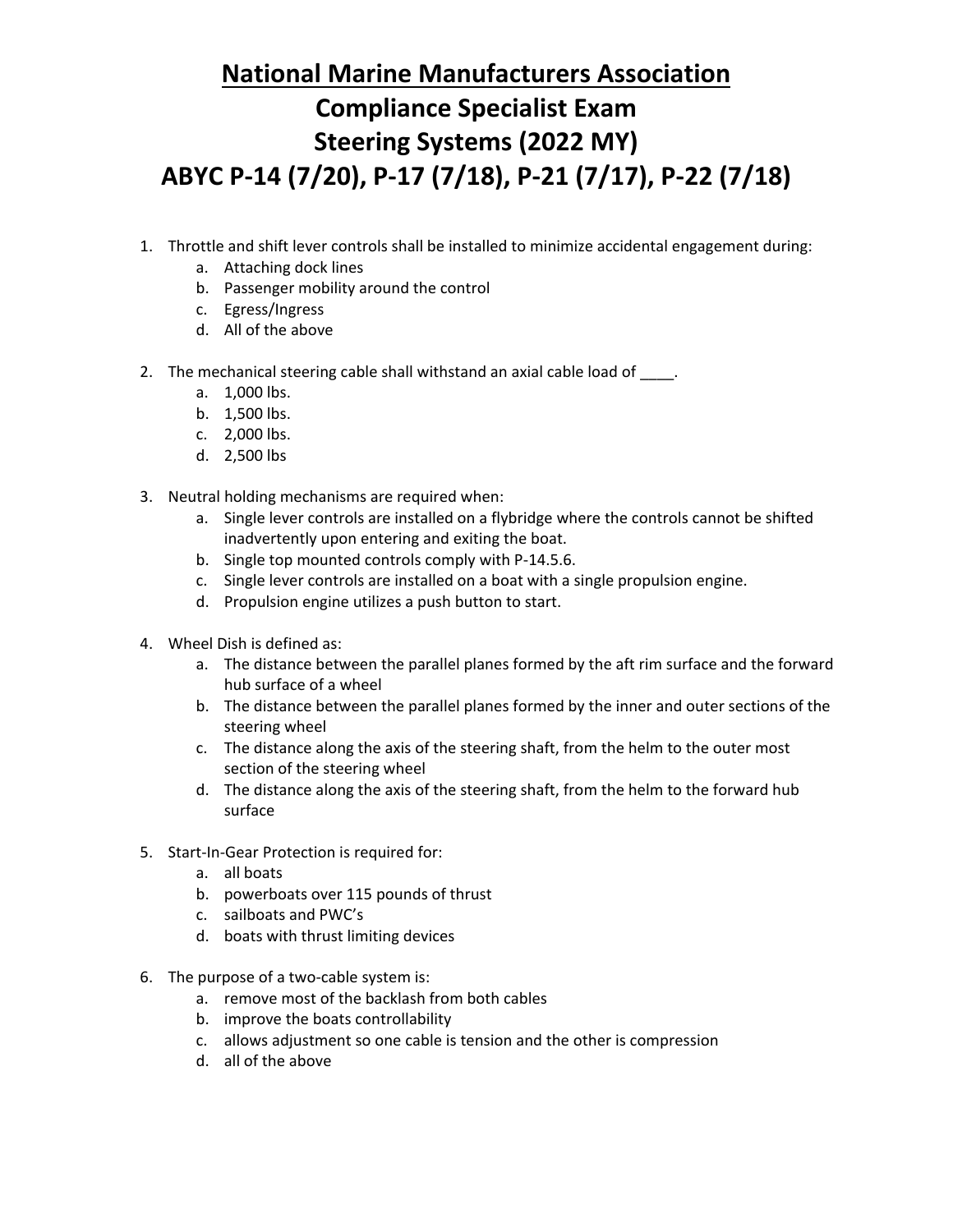## **National Marine Manufacturers Association Compliance Specialist Exam Steering Systems (2022 MY) ABYC P-14 (7/20), P-17 (7/18), P-21 (7/17), P-22 (7/18)**

- 1. Throttle and shift lever controls shall be installed to minimize accidental engagement during:
	- a. Attaching dock lines
	- b. Passenger mobility around the control
	- c. Egress/Ingress
	- d. All of the above
- 2. The mechanical steering cable shall withstand an axial cable load of ...
	- a. 1,000 lbs.
	- b. 1,500 lbs.
	- c. 2,000 lbs.
	- d. 2,500 lbs
- 3. Neutral holding mechanisms are required when:
	- a. Single lever controls are installed on a flybridge where the controls cannot be shifted inadvertently upon entering and exiting the boat.
	- b. Single top mounted controls comply with P-14.5.6.
	- c. Single lever controls are installed on a boat with a single propulsion engine.
	- d. Propulsion engine utilizes a push button to start.
- 4. Wheel Dish is defined as:
	- a. The distance between the parallel planes formed by the aft rim surface and the forward hub surface of a wheel
	- b. The distance between the parallel planes formed by the inner and outer sections of the steering wheel
	- c. The distance along the axis of the steering shaft, from the helm to the outer most section of the steering wheel
	- d. The distance along the axis of the steering shaft, from the helm to the forward hub surface
- 5. Start-In-Gear Protection is required for:
	- a. all boats
	- b. powerboats over 115 pounds of thrust
	- c. sailboats and PWC's
	- d. boats with thrust limiting devices
- 6. The purpose of a two-cable system is:
	- a. remove most of the backlash from both cables
	- b. improve the boats controllability
	- c. allows adjustment so one cable is tension and the other is compression
	- d. all of the above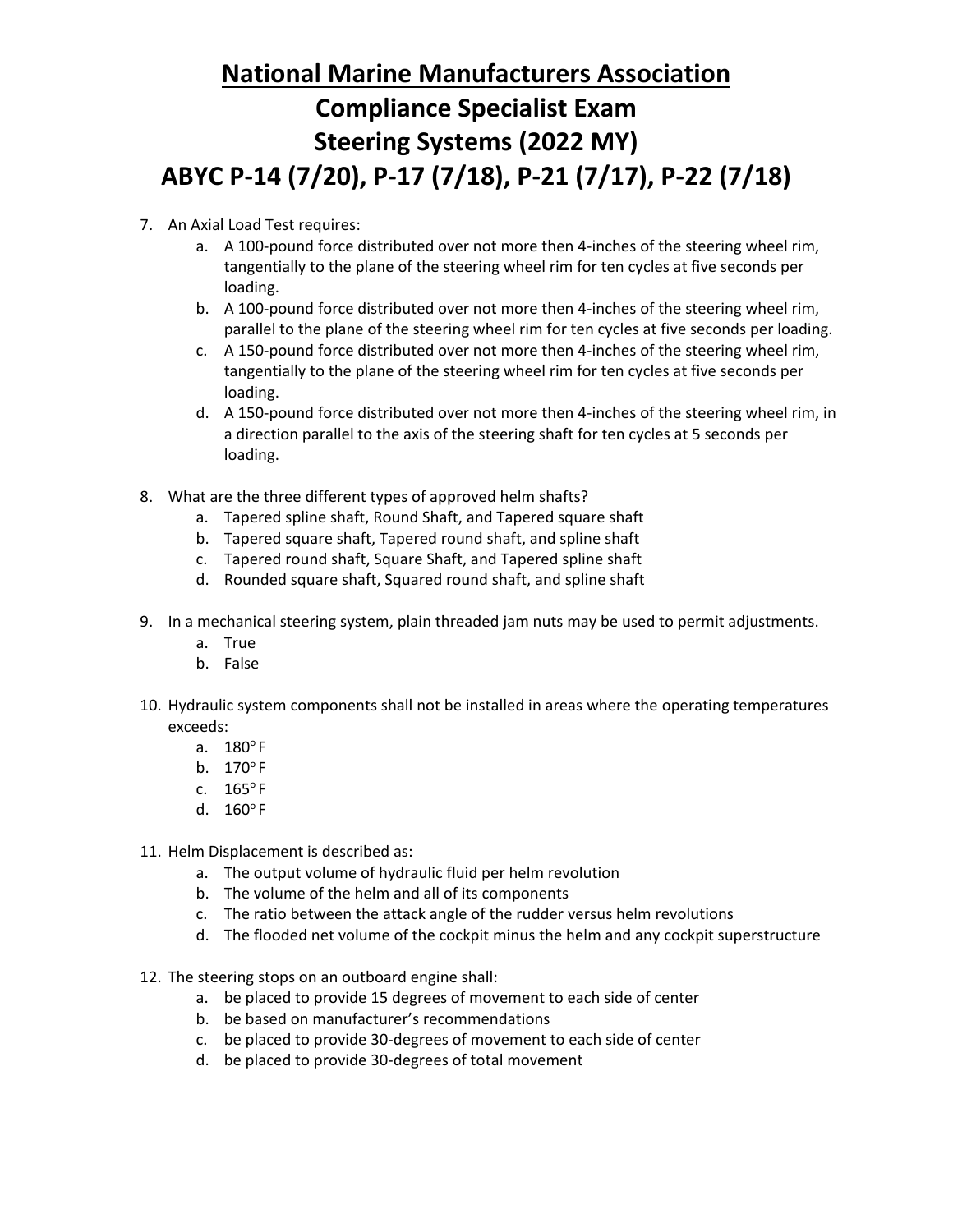## **National Marine Manufacturers Association Compliance Specialist Exam Steering Systems (2022 MY) ABYC P-14 (7/20), P-17 (7/18), P-21 (7/17), P-22 (7/18)**

- 7. An Axial Load Test requires:
	- a. A 100-pound force distributed over not more then 4-inches of the steering wheel rim, tangentially to the plane of the steering wheel rim for ten cycles at five seconds per loading.
	- b. A 100-pound force distributed over not more then 4-inches of the steering wheel rim, parallel to the plane of the steering wheel rim for ten cycles at five seconds per loading.
	- c. A 150-pound force distributed over not more then 4-inches of the steering wheel rim, tangentially to the plane of the steering wheel rim for ten cycles at five seconds per loading.
	- d. A 150-pound force distributed over not more then 4-inches of the steering wheel rim, in a direction parallel to the axis of the steering shaft for ten cycles at 5 seconds per loading.
- 8. What are the three different types of approved helm shafts?
	- a. Tapered spline shaft, Round Shaft, and Tapered square shaft
	- b. Tapered square shaft, Tapered round shaft, and spline shaft
	- c. Tapered round shaft, Square Shaft, and Tapered spline shaft
	- d. Rounded square shaft, Squared round shaft, and spline shaft
- 9. In a mechanical steering system, plain threaded jam nuts may be used to permit adjustments.
	- a. True
	- b. False
- 10. Hydraulic system components shall not be installed in areas where the operating temperatures exceeds:
	- a.  $180^{\circ}$  F
	- b.  $170^\circ$ F
	- c.  $165^{\circ}$ F
	- d.  $160^{\circ}$  F
- 11. Helm Displacement is described as:
	- a. The output volume of hydraulic fluid per helm revolution
	- b. The volume of the helm and all of its components
	- c. The ratio between the attack angle of the rudder versus helm revolutions
	- d. The flooded net volume of the cockpit minus the helm and any cockpit superstructure
- 12. The steering stops on an outboard engine shall:
	- a. be placed to provide 15 degrees of movement to each side of center
	- b. be based on manufacturer's recommendations
	- c. be placed to provide 30-degrees of movement to each side of center
	- d. be placed to provide 30-degrees of total movement